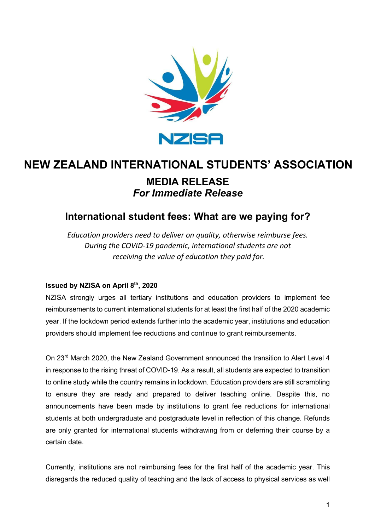

# **MEDIA RELEASE** *For Immediate Release* **NEW ZEALAND INTERNATIONAL STUDENTS' ASSOCIATION**

## **International student fees: What are we paying for?**

*Education providers need to deliver on quality, otherwise reimburse fees. During the COVID-19 pandemic, international students are not receiving the value of education they paid for.*

#### **Issued by NZISA on April 8th, 2020**

NZISA strongly urges all tertiary institutions and education providers to implement fee reimbursements to current international students for at least the first half of the 2020 academic year. If the lockdown period extends further into the academic year, institutions and education providers should implement fee reductions and continue to grant reimbursements.

On 23rd March 2020, the New Zealand Government announced the transition to Alert Level 4 in response to the rising threat of COVID-19. As a result, all students are expected to transition to online study while the country remains in lockdown. Education providers are still scrambling to ensure they are ready and prepared to deliver teaching online. Despite this, no announcements have been made by institutions to grant fee reductions for international students at both undergraduate and postgraduate level in reflection of this change. Refunds are only granted for international students withdrawing from or deferring their course by a certain date.

Currently, institutions are not reimbursing fees for the first half of the academic year. This disregards the reduced quality of teaching and the lack of access to physical services as well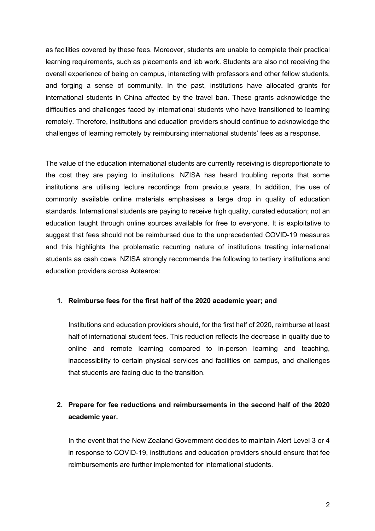as facilities covered by these fees. Moreover, students are unable to complete their practical learning requirements, such as placements and lab work. Students are also not receiving the overall experience of being on campus, interacting with professors and other fellow students, and forging a sense of community. In the past, institutions have allocated grants for international students in China affected by the travel ban. These grants acknowledge the difficulties and challenges faced by international students who have transitioned to learning remotely. Therefore, institutions and education providers should continue to acknowledge the challenges of learning remotely by reimbursing international students' fees as a response.

The value of the education international students are currently receiving is disproportionate to the cost they are paying to institutions. NZISA has heard troubling reports that some institutions are utilising lecture recordings from previous years. In addition, the use of commonly available online materials emphasises a large drop in quality of education standards. International students are paying to receive high quality, curated education; not an education taught through online sources available for free to everyone. It is exploitative to suggest that fees should not be reimbursed due to the unprecedented COVID-19 measures and this highlights the problematic recurring nature of institutions treating international students as cash cows. NZISA strongly recommends the following to tertiary institutions and education providers across Aotearoa:

#### **1. Reimburse fees for the first half of the 2020 academic year; and**

Institutions and education providers should, for the first half of 2020, reimburse at least half of international student fees. This reduction reflects the decrease in quality due to online and remote learning compared to in-person learning and teaching, inaccessibility to certain physical services and facilities on campus, and challenges that students are facing due to the transition.

### **2. Prepare for fee reductions and reimbursements in the second half of the 2020 academic year.**

In the event that the New Zealand Government decides to maintain Alert Level 3 or 4 in response to COVID-19, institutions and education providers should ensure that fee reimbursements are further implemented for international students.